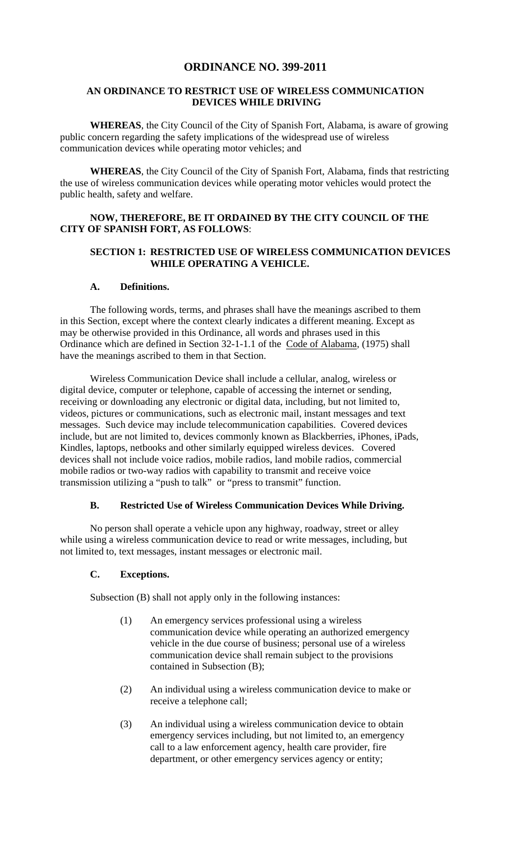# **ORDINANCE NO. 399-2011**

## **AN ORDINANCE TO RESTRICT USE OF WIRELESS COMMUNICATION DEVICES WHILE DRIVING**

**WHEREAS**, the City Council of the City of Spanish Fort, Alabama, is aware of growing public concern regarding the safety implications of the widespread use of wireless communication devices while operating motor vehicles; and

**WHEREAS**, the City Council of the City of Spanish Fort, Alabama, finds that restricting the use of wireless communication devices while operating motor vehicles would protect the public health, safety and welfare.

## **NOW, THEREFORE, BE IT ORDAINED BY THE CITY COUNCIL OF THE CITY OF SPANISH FORT, AS FOLLOWS**:

#### **SECTION 1: RESTRICTED USE OF WIRELESS COMMUNICATION DEVICES WHILE OPERATING A VEHICLE.**

#### **A. Definitions.**

The following words, terms, and phrases shall have the meanings ascribed to them in this Section, except where the context clearly indicates a different meaning. Except as may be otherwise provided in this Ordinance, all words and phrases used in this Ordinance which are defined in Section 32-1-1.1 of the Code of Alabama, (1975) shall have the meanings ascribed to them in that Section.

Wireless Communication Device shall include a cellular, analog, wireless or digital device, computer or telephone, capable of accessing the internet or sending, receiving or downloading any electronic or digital data, including, but not limited to, videos, pictures or communications, such as electronic mail, instant messages and text messages. Such device may include telecommunication capabilities. Covered devices include, but are not limited to, devices commonly known as Blackberries, iPhones, iPads, Kindles, laptops, netbooks and other similarly equipped wireless devices. Covered devices shall not include voice radios, mobile radios, land mobile radios, commercial mobile radios or two-way radios with capability to transmit and receive voice transmission utilizing a "push to talk" or "press to transmit" function.

## **B. Restricted Use of Wireless Communication Devices While Driving.**

 No person shall operate a vehicle upon any highway, roadway, street or alley while using a wireless communication device to read or write messages, including, but not limited to, text messages, instant messages or electronic mail.

## **C. Exceptions.**

Subsection (B) shall not apply only in the following instances:

- (1) An emergency services professional using a wireless communication device while operating an authorized emergency vehicle in the due course of business; personal use of a wireless communication device shall remain subject to the provisions contained in Subsection (B);
- (2) An individual using a wireless communication device to make or receive a telephone call;
- (3) An individual using a wireless communication device to obtain emergency services including, but not limited to, an emergency call to a law enforcement agency, health care provider, fire department, or other emergency services agency or entity;